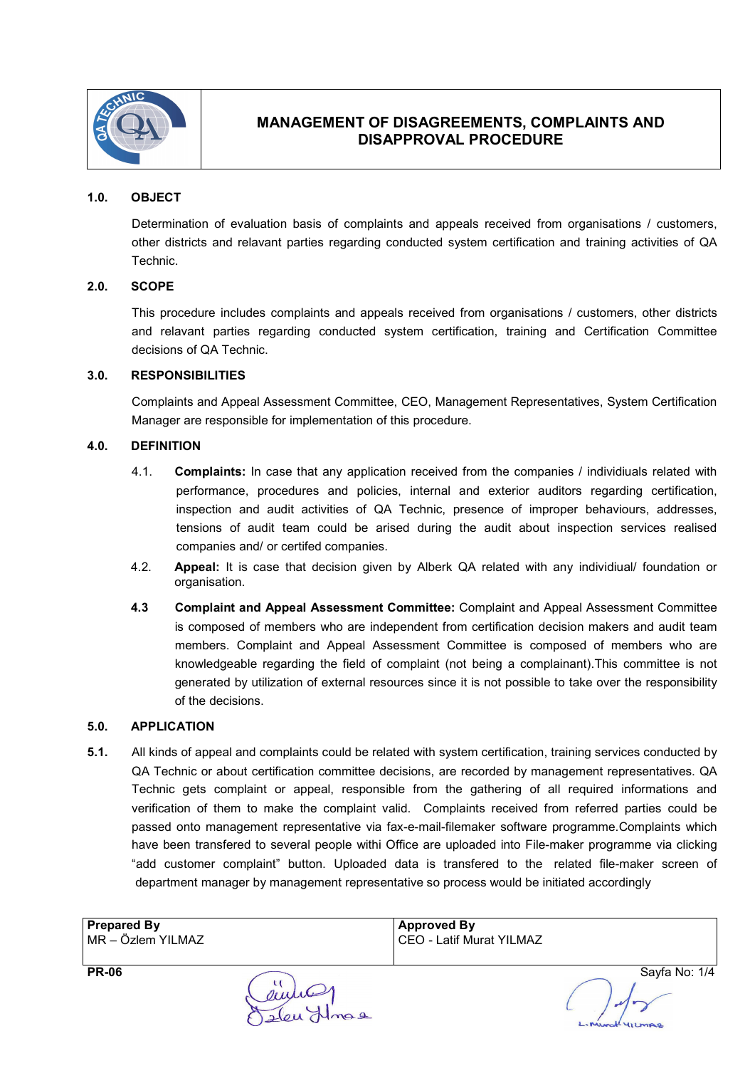

## 1.0. OBJECT

Determination of evaluation basis of complaints and appeals received from organisations / customers, other districts and relavant parties regarding conducted system certification and training activities of QA Technic.

### 2.0. SCOPE

This procedure includes complaints and appeals received from organisations / customers, other districts and relavant parties regarding conducted system certification, training and Certification Committee decisions of QA Technic.

#### 3.0. RESPONSIBILITIES

Complaints and Appeal Assessment Committee, CEO, Management Representatives, System Certification Manager are responsible for implementation of this procedure.

#### 4.0. DEFINITION

- 4.1. Complaints: In case that any application received from the companies / individiuals related with performance, procedures and policies, internal and exterior auditors regarding certification, inspection and audit activities of QA Technic, presence of improper behaviours, addresses, tensions of audit team could be arised during the audit about inspection services realised companies and/ or certifed companies.
- 4.2. **Appeal:** It is case that decision given by Alberk QA related with any individiual/ foundation or organisation.
- 4.3 Complaint and Appeal Assessment Committee: Complaint and Appeal Assessment Committee is composed of members who are independent from certification decision makers and audit team members. Complaint and Appeal Assessment Committee is composed of members who are knowledgeable regarding the field of complaint (not being a complainant).This committee is not generated by utilization of external resources since it is not possible to take over the responsibility of the decisions.

#### 5.0. APPLICATION

5.1. All kinds of appeal and complaints could be related with system certification, training services conducted by QA Technic or about certification committee decisions, are recorded by management representatives. QA Technic gets complaint or appeal, responsible from the gathering of all required informations and verification of them to make the complaint valid. Complaints received from referred parties could be passed onto management representative via fax-e-mail-filemaker software programme.Complaints which have been transfered to several people withi Office are uploaded into File-maker programme via clicking "add customer complaint" button. Uploaded data is transfered to the related file-maker screen of department manager by management representative so process would be initiated accordingly

| <b>Prepared By</b> | <b>Approved By</b>       |
|--------------------|--------------------------|
| MR - Özlem YILMAZ  | CEO - Latif Murat YILMAZ |

PR-06 Sayfa No: 1/4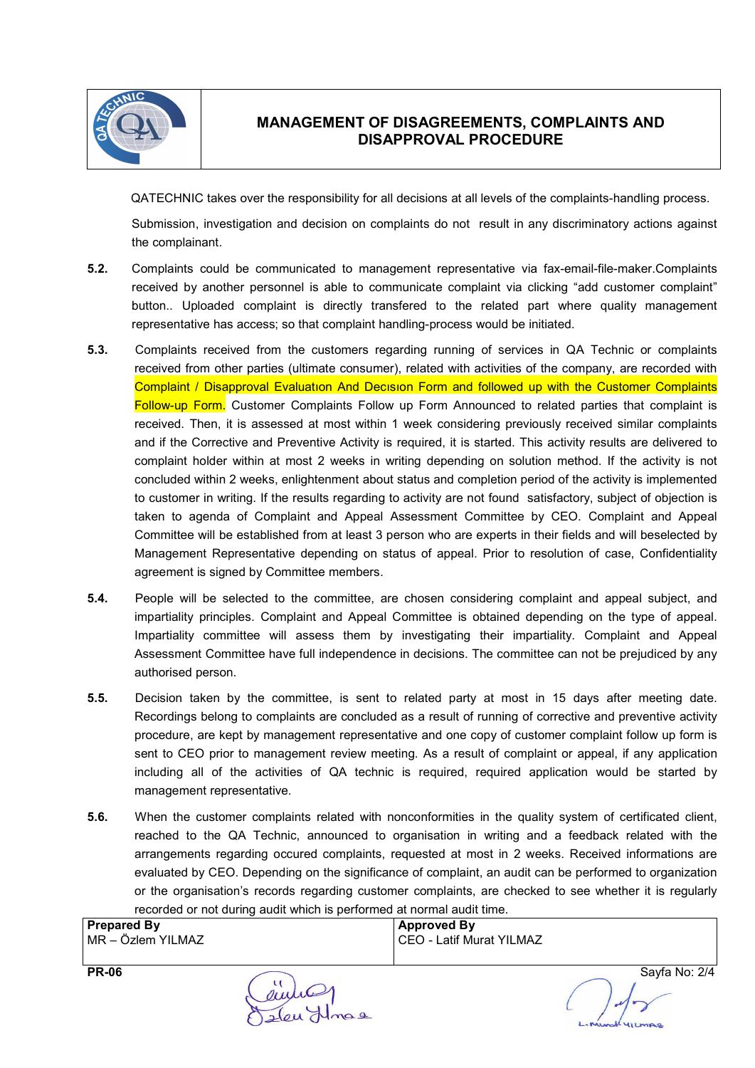

QATECHNIC takes over the responsibility for all decisions at all levels of the complaints-handling process.

Submission, investigation and decision on complaints do not result in any discriminatory actions against the complainant.

- 5.2. Complaints could be communicated to management representative via fax-email-file-maker.Complaints received by another personnel is able to communicate complaint via clicking "add customer complaint" button.. Uploaded complaint is directly transfered to the related part where quality management representative has access; so that complaint handling-process would be initiated.
- 5.3. Complaints received from the customers regarding running of services in QA Technic or complaints received from other parties (ultimate consumer), related with activities of the company, are recorded with Complaint / Disapproval Evaluatıon And Decısıon Form and followed up with the Customer Complaints Follow-up Form. Customer Complaints Follow up Form Announced to related parties that complaint is received. Then, it is assessed at most within 1 week considering previously received similar complaints and if the Corrective and Preventive Activity is required, it is started. This activity results are delivered to complaint holder within at most 2 weeks in writing depending on solution method. If the activity is not concluded within 2 weeks, enlightenment about status and completion period of the activity is implemented to customer in writing. If the results regarding to activity are not found satisfactory, subject of objection is taken to agenda of Complaint and Appeal Assessment Committee by CEO. Complaint and Appeal Committee will be established from at least 3 person who are experts in their fields and will beselected by Management Representative depending on status of appeal. Prior to resolution of case, Confidentiality agreement is signed by Committee members.
- 5.4. People will be selected to the committee, are chosen considering complaint and appeal subject, and impartiality principles. Complaint and Appeal Committee is obtained depending on the type of appeal. Impartiality committee will assess them by investigating their impartiality. Complaint and Appeal Assessment Committee have full independence in decisions. The committee can not be prejudiced by any authorised person.
- 5.5. Decision taken by the committee, is sent to related party at most in 15 days after meeting date. Recordings belong to complaints are concluded as a result of running of corrective and preventive activity procedure, are kept by management representative and one copy of customer complaint follow up form is sent to CEO prior to management review meeting. As a result of complaint or appeal, if any application including all of the activities of QA technic is required, required application would be started by management representative.
- 5.6. When the customer complaints related with nonconformities in the quality system of certificated client, reached to the QA Technic, announced to organisation in writing and a feedback related with the arrangements regarding occured complaints, requested at most in 2 weeks. Received informations are evaluated by CEO. Depending on the significance of complaint, an audit can be performed to organization or the organisation's records regarding customer complaints, are checked to see whether it is regularly recorded or not during audit which is performed at normal audit time.

| <b>Prepared By</b> | Approved By                |
|--------------------|----------------------------|
| MR - Özlem YILMAZ  | I CEO - Latif Murat YILMAZ |

PR-06 Sayfa No: 2/4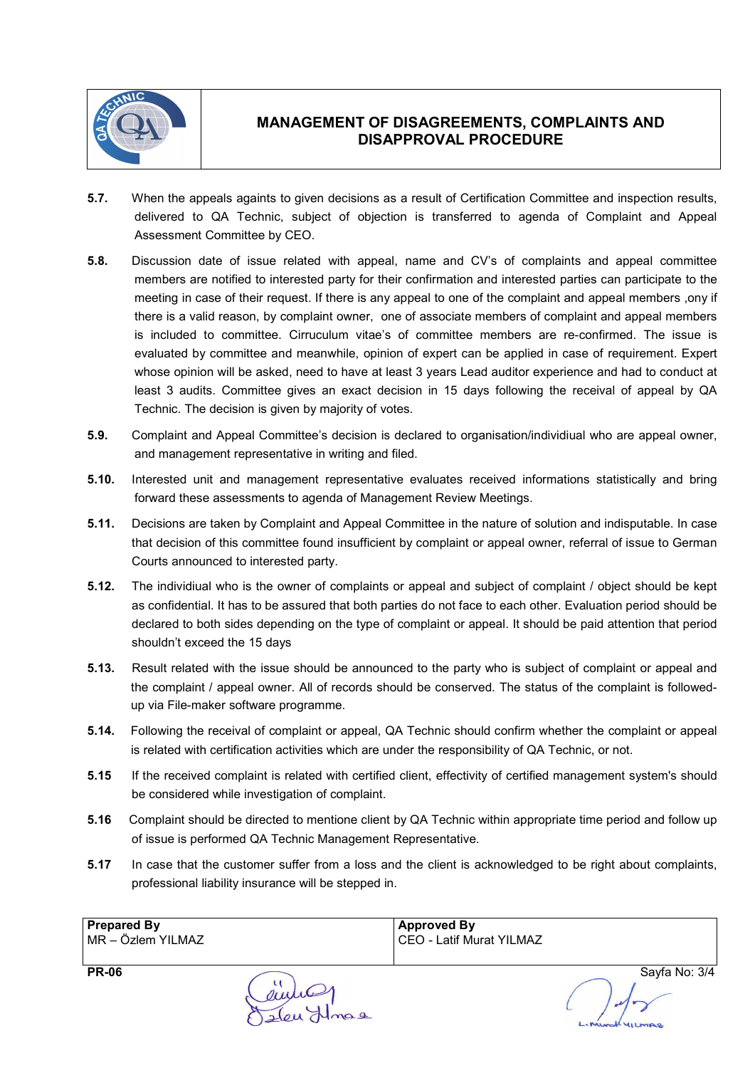

- 5.7. When the appeals againts to given decisions as a result of Certification Committee and inspection results, delivered to QA Technic, subject of objection is transferred to agenda of Complaint and Appeal Assessment Committee by CEO.
- 5.8. Discussion date of issue related with appeal, name and CV's of complaints and appeal committee members are notified to interested party for their confirmation and interested parties can participate to the meeting in case of their request. If there is any appeal to one of the complaint and appeal members ,ony if there is a valid reason, by complaint owner, one of associate members of complaint and appeal members is included to committee. Cirruculum vitae's of committee members are re-confirmed. The issue is evaluated by committee and meanwhile, opinion of expert can be applied in case of requirement. Expert whose opinion will be asked, need to have at least 3 years Lead auditor experience and had to conduct at least 3 audits. Committee gives an exact decision in 15 days following the receival of appeal by QA Technic. The decision is given by majority of votes.
- 5.9. Complaint and Appeal Committee's decision is declared to organisation/individiual who are appeal owner, and management representative in writing and filed.
- 5.10. Interested unit and management representative evaluates received informations statistically and bring forward these assessments to agenda of Management Review Meetings.
- 5.11. Decisions are taken by Complaint and Appeal Committee in the nature of solution and indisputable. In case that decision of this committee found insufficient by complaint or appeal owner, referral of issue to German Courts announced to interested party.
- 5.12. The individiual who is the owner of complaints or appeal and subject of complaint / object should be kept as confidential. It has to be assured that both parties do not face to each other. Evaluation period should be declared to both sides depending on the type of complaint or appeal. It should be paid attention that period shouldn't exceed the 15 days
- 5.13. Result related with the issue should be announced to the party who is subject of complaint or appeal and the complaint / appeal owner. All of records should be conserved. The status of the complaint is followedup via File-maker software programme.
- 5.14. Following the receival of complaint or appeal, QA Technic should confirm whether the complaint or appeal is related with certification activities which are under the responsibility of QA Technic, or not.
- 5.15 If the received complaint is related with certified client, effectivity of certified management system's should be considered while investigation of complaint.
- 5.16 Complaint should be directed to mentione client by QA Technic within appropriate time period and follow up of issue is performed QA Technic Management Representative.
- 5.17 In case that the customer suffer from a loss and the client is acknowledged to be right about complaints, professional liability insurance will be stepped in.

| <b>Prepared By</b> | Approved By              |
|--------------------|--------------------------|
| MR - Özlem YILMAZ  | CEO - Latif Murat YILMAZ |

PR-06 Sayfa No: 3/4